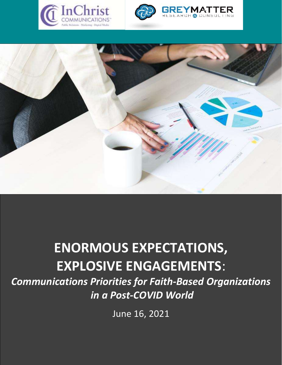





# ENORMOUS EXPECTATIONS, EXPLOSIVE ENGAGEMENTS:

Communications Priorities for Faith-Based Organizations in a Post-COVID World

June 16, 2021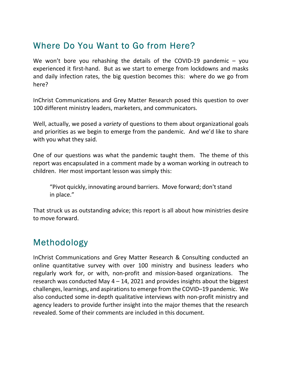# Where Do You Want to Go from Here?

We won't bore you rehashing the details of the COVID-19 pandemic  $-$  you experienced it first-hand. But as we start to emerge from lockdowns and masks and daily infection rates, the big question becomes this: where do we go from here?

InChrist Communications and Grey Matter Research posed this question to over 100 different ministry leaders, marketers, and communicators.

Well, actually, we posed a *variety* of questions to them about organizational goals and priorities as we begin to emerge from the pandemic. And we'd like to share with you what they said.

One of our questions was what the pandemic taught them. The theme of this report was encapsulated in a comment made by a woman working in outreach to children. Her most important lesson was simply this:

"Pivot quickly, innovating around barriers. Move forward; don't stand in place."

That struck us as outstanding advice; this report is all about how ministries desire to move forward.

# Methodology

InChrist Communications and Grey Matter Research & Consulting conducted an online quantitative survey with over 100 ministry and business leaders who regularly work for, or with, non-profit and mission-based organizations. The research was conducted May  $4 - 14$ , 2021 and provides insights about the biggest challenges, learnings, and aspirations to emerge from the COVID–19 pandemic. We also conducted some in-depth qualitative interviews with non-profit ministry and agency leaders to provide further insight into the major themes that the research revealed. Some of their comments are included in this document.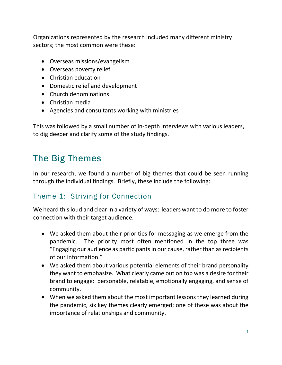Organizations represented by the research included many different ministry sectors; the most common were these:

- Overseas missions/evangelism
- Overseas poverty relief
- Christian education
- Domestic relief and development
- Church denominations
- Christian media
- Agencies and consultants working with ministries

This was followed by a small number of in-depth interviews with various leaders, to dig deeper and clarify some of the study findings.

# The Big Themes

In our research, we found a number of big themes that could be seen running through the individual findings. Briefly, these include the following:

### Theme 1: Striving for Connection

We heard this loud and clear in a variety of ways: leaders want to do more to foster connection with their target audience.

- We asked them about their priorities for messaging as we emerge from the pandemic. The priority most often mentioned in the top three was "Engaging our audience as participants in our cause, rather than as recipients of our information."
- We asked them about various potential elements of their brand personality they want to emphasize. What clearly came out on top was a desire for their brand to engage: personable, relatable, emotionally engaging, and sense of community.
- When we asked them about the most important lessons they learned during the pandemic, six key themes clearly emerged; one of these was about the importance of relationships and community.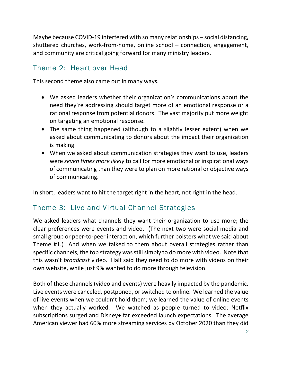Maybe because COVID-19 interfered with so many relationships – social distancing, shuttered churches, work-from-home, online school – connection, engagement, and community are critical going forward for many ministry leaders.

# Theme 2: Heart over Head

This second theme also came out in many ways.

- We asked leaders whether their organization's communications about the need they're addressing should target more of an emotional response or a rational response from potential donors. The vast majority put more weight on targeting an emotional response.
- The same thing happened (although to a slightly lesser extent) when we asked about communicating to donors about the impact their organization is making.
- When we asked about communication strategies they want to use, leaders were seven times more likely to call for more emotional or inspirational ways of communicating than they were to plan on more rational or objective ways of communicating.

In short, leaders want to hit the target right in the heart, not right in the head.

# Theme 3: Live and Virtual Channel Strategies

We asked leaders what channels they want their organization to use more; the clear preferences were events and video. (The next two were social media and small group or peer-to-peer interaction, which further bolsters what we said about Theme #1.) And when we talked to them about overall strategies rather than specific channels, the top strategy was still simply to do more with video. Note that this wasn't broadcast video. Half said they need to do more with videos on their own website, while just 9% wanted to do more through television.

Both of these channels (video and events) were heavily impacted by the pandemic. Live events were canceled, postponed, or switched to online. We learned the value of live events when we couldn't hold them; we learned the value of online events when they actually worked. We watched as people turned to video: Netflix subscriptions surged and Disney+ far exceeded launch expectations. The average American viewer had 60% more streaming services by October 2020 than they did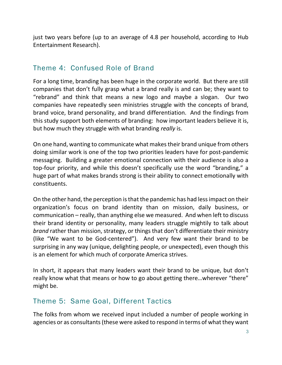just two years before (up to an average of 4.8 per household, according to Hub Entertainment Research).

#### Theme 4: Confused Role of Brand

For a long time, branding has been huge in the corporate world. But there are still companies that don't fully grasp what a brand really is and can be; they want to "rebrand" and think that means a new logo and maybe a slogan. Our two companies have repeatedly seen ministries struggle with the concepts of brand, brand voice, brand personality, and brand differentiation. And the findings from this study support both elements of branding: how important leaders believe it is, but how much they struggle with what branding really is.

On one hand, wanting to communicate what makes their brand unique from others doing similar work is one of the top two priorities leaders have for post-pandemic messaging. Building a greater emotional connection with their audience is also a top-four priority, and while this doesn't specifically use the word "branding," a huge part of what makes brands strong is their ability to connect emotionally with constituents.

On the other hand, the perception is that the pandemic has had less impact on their organization's focus on brand identity than on mission, daily business, or communication – really, than anything else we measured. And when left to discuss their brand identity or personality, many leaders struggle mightily to talk about brand rather than mission, strategy, or things that don't differentiate their ministry (like "We want to be God-centered"). And very few want their brand to be surprising in any way (unique, delighting people, or unexpected), even though this is an element for which much of corporate America strives.

In short, it appears that many leaders want their brand to be unique, but don't really know what that means or how to go about getting there... wherever "there" might be.

#### Theme 5: Same Goal, Different Tactics

The folks from whom we received input included a number of people working in agencies or as consultants (these were asked to respond in terms of what they want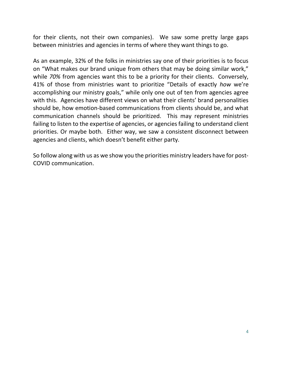for their clients, not their own companies). We saw some pretty large gaps between ministries and agencies in terms of where they want things to go.

As an example, 32% of the folks in ministries say one of their priorities is to focus on "What makes our brand unique from others that may be doing similar work," while 70% from agencies want this to be a priority for their clients. Conversely, 41% of those from ministries want to prioritize "Details of exactly how we're accomplishing our ministry goals," while only one out of ten from agencies agree with this. Agencies have different views on what their clients' brand personalities should be, how emotion-based communications from clients should be, and what communication channels should be prioritized. This may represent ministries failing to listen to the expertise of agencies, or agencies failing to understand client priorities. Or maybe both. Either way, we saw a consistent disconnect between agencies and clients, which doesn't benefit either party.

So follow along with us as we show you the priorities ministry leaders have for post-COVID communication.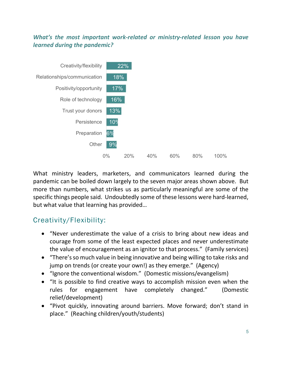#### What's the most important work-related or ministry-related lesson you have learned during the pandemic?



What ministry leaders, marketers, and communicators learned during the pandemic can be boiled down largely to the seven major areas shown above. But more than numbers, what strikes us as particularly meaningful are some of the specific things people said. Undoubtedly some of these lessons were hard-learned, but what value that learning has provided…

# Creativity/Flexibility:

- "Never underestimate the value of a crisis to bring about new ideas and courage from some of the least expected places and never underestimate the value of encouragement as an ignitor to that process." (Family services)
- "There's so much value in being innovative and being willing to take risks and jump on trends (or create your own!) as they emerge." (Agency)
- "Ignore the conventional wisdom." (Domestic missions/evangelism)
- "It is possible to find creative ways to accomplish mission even when the rules for engagement have completely changed." (Domestic relief/development)
- "Pivot quickly, innovating around barriers. Move forward; don't stand in place." (Reaching children/youth/students)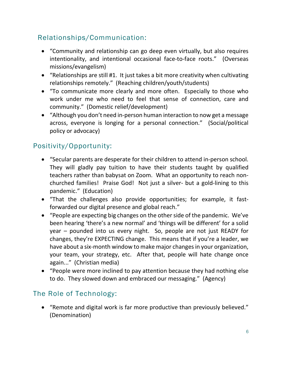# Relationships/Communication:

- "Community and relationship can go deep even virtually, but also requires intentionality, and intentional occasional face-to-face roots." (Overseas missions/evangelism)
- "Relationships are still #1. It just takes a bit more creativity when cultivating relationships remotely." (Reaching children/youth/students)
- "To communicate more clearly and more often. Especially to those who work under me who need to feel that sense of connection, care and community." (Domestic relief/development)
- "Although you don't need in-person human interaction to now get a message across, everyone is longing for a personal connection." (Social/political policy or advocacy)

# Positivity/Opportunity:

- "Secular parents are desperate for their children to attend in-person school. They will gladly pay tuition to have their students taught by qualified teachers rather than babysat on Zoom. What an opportunity to reach nonchurched families! Praise God! Not just a silver- but a gold-lining to this pandemic." (Education)
- "That the challenges also provide opportunities; for example, it fastforwarded our digital presence and global reach."
- "People are expecting big changes on the other side of the pandemic. We've been hearing 'there's a new normal' and 'things will be different' for a solid year – pounded into us every night. So, people are not just READY for changes, they're EXPECTING change. This means that if you're a leader, we have about a six-month window to make major changes in your organization, your team, your strategy, etc. After that, people will hate change once again..." (Christian media)
- "People were more inclined to pay attention because they had nothing else to do. They slowed down and embraced our messaging." (Agency)

### The Role of Technology:

 "Remote and digital work is far more productive than previously believed." (Denomination)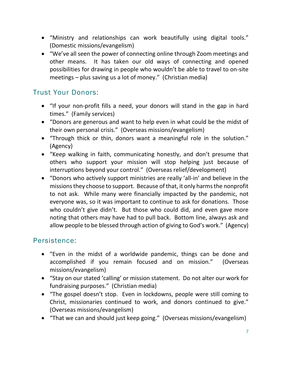- "Ministry and relationships can work beautifully using digital tools." (Domestic missions/evangelism)
- "We've all seen the power of connecting online through Zoom meetings and other means. It has taken our old ways of connecting and opened possibilities for drawing in people who wouldn't be able to travel to on-site meetings – plus saving us a lot of money." (Christian media)

#### Trust Your Donors:

- "If your non-profit fills a need, your donors will stand in the gap in hard times." (Family services)
- "Donors are generous and want to help even in what could be the midst of their own personal crisis." (Overseas missions/evangelism)
- "Through thick or thin, donors want a meaningful role in the solution." (Agency)
- "Keep walking in faith, communicating honestly, and don't presume that others who support your mission will stop helping just because of interruptions beyond your control." (Overseas relief/development)
- "Donors who actively support ministries are really 'all-in' and believe in the missions they choose to support. Because of that, it only harms the nonprofit to not ask. While many were financially impacted by the pandemic, not everyone was, so it was important to continue to ask for donations. Those who couldn't give didn't. But those who could did, and even gave more noting that others may have had to pull back. Bottom line, always ask and allow people to be blessed through action of giving to God's work." (Agency)

#### Persistence:

- "Even in the midst of a worldwide pandemic, things can be done and accomplished if you remain focused and on mission." (Overseas missions/evangelism)
- "Stay on our stated 'calling' or mission statement. Do not alter our work for fundraising purposes." (Christian media)
- "The gospel doesn't stop. Even in lockdowns, people were still coming to Christ, missionaries continued to work, and donors continued to give." (Overseas missions/evangelism)
- "That we can and should just keep going." (Overseas missions/evangelism)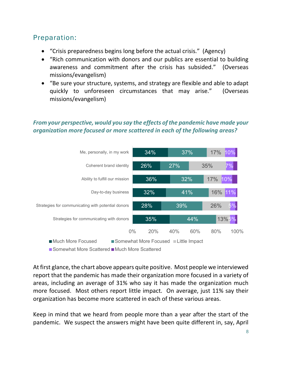## Preparation:

- "Crisis preparedness begins long before the actual crisis." (Agency)
- "Rich communication with donors and our publics are essential to building awareness and commitment after the crisis has subsided." (Overseas missions/evangelism)
- "Be sure your structure, systems, and strategy are flexible and able to adapt quickly to unforeseen circumstances that may arise." (Overseas missions/evangelism)

#### From your perspective, would you say the effects of the pandemic have made your organization more focused or more scattered in each of the following areas?



■ Somewhat More Scattered ■ Much More Scattered

At first glance, the chart above appears quite positive. Most people we interviewed report that the pandemic has made their organization more focused in a variety of areas, including an average of 31% who say it has made the organization much more focused. Most others report little impact. On average, just 11% say their organization has become more scattered in each of these various areas.

Keep in mind that we heard from people more than a year after the start of the pandemic. We suspect the answers might have been quite different in, say, April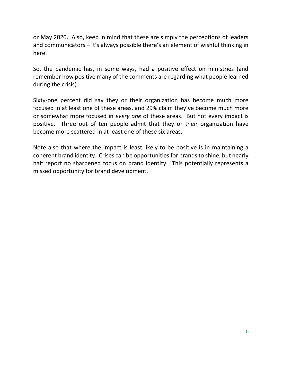or May 2020. Also, keep in mind that these are simply the perceptions of leaders and communicators – it's always possible there's an element of wishful thinking in here.

So, the pandemic has, in some ways, had a positive effect on ministries (and remember how positive many of the comments are regarding what people learned during the crisis).

Sixty-one percent did say they or their organization has become much more focused in at least one of these areas, and 29% claim they've become much more or somewhat more focused in every one of these areas. But not every impact is positive. Three out of ten people admit that they or their organization have become more scattered in at least one of these six areas.

Note also that where the impact is least likely to be positive is in maintaining a coherent brand identity. Crises can be opportunities for brands to shine, but nearly half report no sharpened focus on brand identity. This potentially represents a missed opportunity for brand development.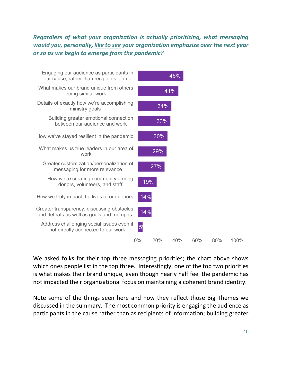Regardless of what your organization is actually prioritizing, what messaging would you, personally, like to see your organization emphasize over the next year or so as we begin to emerge from the pandemic?



We asked folks for their top three messaging priorities; the chart above shows which ones people list in the top three. Interestingly, one of the top two priorities is what makes their brand unique, even though nearly half feel the pandemic has not impacted their organizational focus on maintaining a coherent brand identity.

Note some of the things seen here and how they reflect those Big Themes we discussed in the summary. The most common priority is engaging the audience as participants in the cause rather than as recipients of information; building greater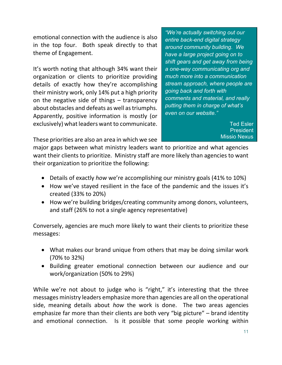emotional connection with the audience is also in the top four. Both speak directly to that theme of Engagement.

It's worth noting that although 34% want their organization or clients to prioritize providing details of exactly how they're accomplishing their ministry work, only 14% put a high priority on the negative side of things – transparency about obstacles and defeats as well as triumphs. Apparently, positive information is mostly (or exclusively) what leaders want to communicate.

"We're actually switching out our entire back-end digital strategy around community building. We have a large project going on to shift gears and get away from being a one-way communicating org and much more into a communication stream approach, where people are going back and forth with comments and material, and really putting them in charge of what's even on our website."

> Ted Esler **President** Missio Nexus

These priorities are also an area in which we see

major gaps between what ministry leaders want to prioritize and what agencies want their clients to prioritize. Ministry staff are more likely than agencies to want their organization to prioritize the following:

- Details of exactly *how* we're accomplishing our ministry goals (41% to 10%)
- How we've stayed resilient in the face of the pandemic and the issues it's created (33% to 20%)
- How we're building bridges/creating community among donors, volunteers, and staff (26% to not a single agency representative)

Conversely, agencies are much more likely to want their clients to prioritize these messages:

- What makes our brand unique from others that may be doing similar work (70% to 32%)
- Building greater emotional connection between our audience and our work/organization (50% to 29%)

While we're not about to judge who is "right," it's interesting that the three messages ministry leaders emphasize more than agencies are all on the operational side, meaning details about how the work is done. The two areas agencies emphasize far more than their clients are both very "big picture" – brand identity and emotional connection. Is it possible that some people working within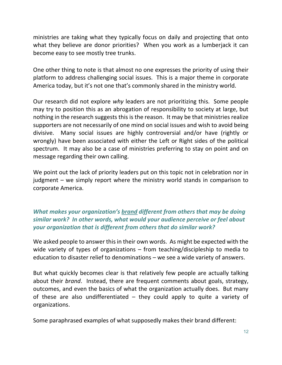ministries are taking what they typically focus on daily and projecting that onto what they believe are donor priorities? When you work as a lumberjack it can become easy to see mostly tree trunks.

One other thing to note is that almost no one expresses the priority of using their platform to address challenging social issues. This is a major theme in corporate America today, but it's not one that's commonly shared in the ministry world.

Our research did not explore why leaders are not prioritizing this. Some people may try to position this as an abrogation of responsibility to society at large, but nothing in the research suggests this is the reason. It may be that ministries realize supporters are not necessarily of one mind on social issues and wish to avoid being divisive. Many social issues are highly controversial and/or have (rightly or wrongly) have been associated with either the Left or Right sides of the political spectrum. It may also be a case of ministries preferring to stay on point and on message regarding their own calling.

We point out the lack of priority leaders put on this topic not in celebration nor in judgment – we simply report where the ministry world stands in comparison to corporate America.

#### What makes your organization's brand different from others that may be doing similar work? In other words, what would your audience perceive or feel about your organization that is different from others that do similar work?

We asked people to answer this in their own words. As might be expected with the wide variety of types of organizations – from teaching/discipleship to media to education to disaster relief to denominations – we see a wide variety of answers.

But what quickly becomes clear is that relatively few people are actually talking about their *brand*. Instead, there are frequent comments about goals, strategy, outcomes, and even the basics of what the organization actually does. But many of these are also undifferentiated – they could apply to quite a variety of organizations.

Some paraphrased examples of what supposedly makes their brand different: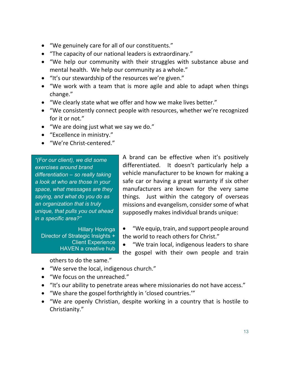- "We genuinely care for all of our constituents."
- "The capacity of our national leaders is extraordinary."
- "We help our community with their struggles with substance abuse and mental health. We help our community as a whole."
- "It's our stewardship of the resources we're given."
- "We work with a team that is more agile and able to adapt when things change."
- "We clearly state what we offer and how we make lives better."
- "We consistently connect people with resources, whether we're recognized for it or not."
- "We are doing just what we say we do."
- "Excellence in ministry."
- "We're Christ-centered."

"(For our client), we did some exercises around brand differentiation – so really taking a look at who are those in your space, what messages are they saying, and what do you do as an organization that is truly unique, that pulls you out ahead in a specific area?"

Hillary Hovinga Director of Strategic Insights + Client Experience HAVEN a creative hub A brand can be effective when it's positively differentiated. It doesn't particularly help a vehicle manufacturer to be known for making a safe car or having a great warranty if six other manufacturers are known for the very same things. Just within the category of overseas missions and evangelism, consider some of what supposedly makes individual brands unique:

- "We equip, train, and support people around the world to reach others for Christ."
- "We train local, indigenous leaders to share the gospel with their own people and train

others to do the same."

- "We serve the local, indigenous church."
- "We focus on the unreached."
- "It's our ability to penetrate areas where missionaries do not have access."
- "We share the gospel forthrightly in 'closed countries.'"
- "We are openly Christian, despite working in a country that is hostile to Christianity."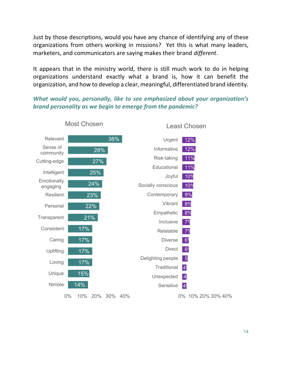Just by those descriptions, would you have any chance of identifying any of these organizations from others working in missions? Yet this is what many leaders, marketers, and communicators are saying makes their brand different.

It appears that in the ministry world, there is still much work to do in helping organizations understand exactly what a brand is, how it can benefit the organization, and how to develop a clear, meaningful, differentiated brand identity.

What would you, personally, like to see emphasized about your organization's brand personality as we begin to emerge from the pandemic?

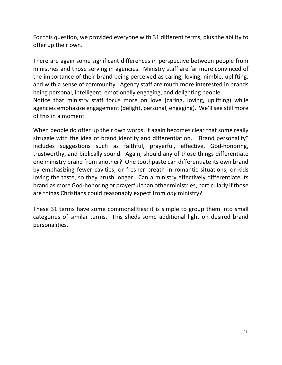For this question, we provided everyone with 31 different terms, plus the ability to offer up their own.

There are again some significant differences in perspective between people from ministries and those serving in agencies. Ministry staff are far more convinced of the importance of their brand being perceived as caring, loving, nimble, uplifting, and with a sense of community. Agency staff are much more interested in brands being personal, intelligent, emotionally engaging, and delighting people. Notice that ministry staff focus more on love (caring, loving, uplifting) while agencies emphasize engagement (delight, personal, engaging). We'll see still more of this in a moment.

When people do offer up their own words, it again becomes clear that some really struggle with the idea of brand identity and differentiation. "Brand personality" includes suggestions such as faithful, prayerful, effective, God-honoring, trustworthy, and biblically sound. Again, should any of those things differentiate one ministry brand from another? One toothpaste can differentiate its own brand by emphasizing fewer cavities, or fresher breath in romantic situations, or kids loving the taste, so they brush longer. Can a ministry effectively differentiate its brand as more God-honoring or prayerful than other ministries, particularly if those are things Christians could reasonably expect from any ministry?

These 31 terms have some commonalities; it is simple to group them into small categories of similar terms. This sheds some additional light on desired brand personalities.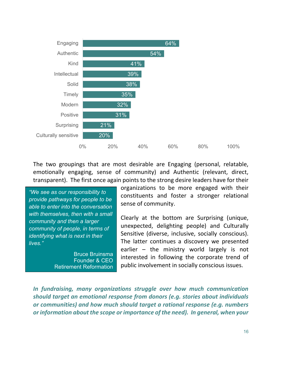

The two groupings that are most desirable are Engaging (personal, relatable, emotionally engaging, sense of community) and Authentic (relevant, direct, transparent). The first once again points to the strong desire leaders have for their

"We see as our responsibility to provide pathways for people to be able to enter into the conversation with themselves, then with a small community and then a larger community of people, in terms of identifying what is next in their lives."

> Bruce Bruinsma Founder & CEO Retirement Reformation

organizations to be more engaged with their constituents and foster a stronger relational sense of community.

Clearly at the bottom are Surprising (unique, unexpected, delighting people) and Culturally Sensitive (diverse, inclusive, socially conscious). The latter continues a discovery we presented earlier – the ministry world largely is not interested in following the corporate trend of public involvement in socially conscious issues.

In fundraising, many organizations struggle over how much communication should target an emotional response from donors (e.g. stories about individuals or communities) and how much should target a rational response (e.g. numbers or information about the scope or importance of the need). In general, when your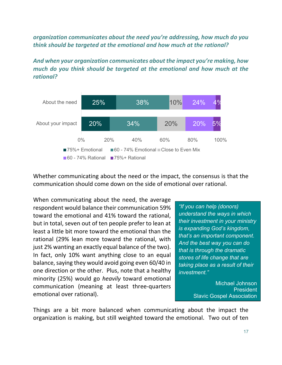organization communicates about the need you're addressing, how much do you think should be targeted at the emotional and how much at the rational?

And when your organization communicates about the impact you're making, how much do you think should be targeted at the emotional and how much at the rational?



Whether communicating about the need or the impact, the consensus is that the communication should come down on the side of emotional over rational.

When communicating about the need, the average respondent would balance their communication 59% toward the emotional and 41% toward the rational, but in total, seven out of ten people prefer to lean at least a little bit more toward the emotional than the rational (29% lean more toward the rational, with just 2% wanting an exactly equal balance of the two). In fact, only 10% want anything close to an equal balance, saying they would avoid going even 60/40 in one direction or the other. Plus, note that a healthy minority (25%) would go heavily toward emotional communication (meaning at least three-quarters emotional over rational).

"If you can help (donors) understand the ways in which their investment in your ministry is expanding God's kingdom, that's an important component. And the best way you can do that is through the dramatic stores of life change that are taking place as a result of their investment."

> Michael Johnson **President** Slavic Gospel Association

Things are a bit more balanced when communicating about the impact the organization is making, but still weighted toward the emotional. Two out of ten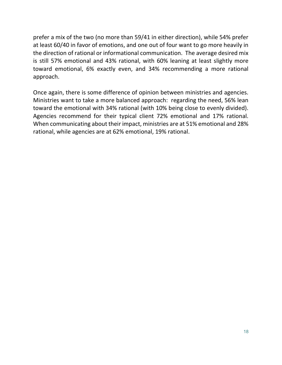prefer a mix of the two (no more than 59/41 in either direction), while 54% prefer at least 60/40 in favor of emotions, and one out of four want to go more heavily in the direction of rational or informational communication. The average desired mix is still 57% emotional and 43% rational, with 60% leaning at least slightly more toward emotional, 6% exactly even, and 34% recommending a more rational approach.

Once again, there is some difference of opinion between ministries and agencies. Ministries want to take a more balanced approach: regarding the need, 56% lean toward the emotional with 34% rational (with 10% being close to evenly divided). Agencies recommend for their typical client 72% emotional and 17% rational. When communicating about their impact, ministries are at 51% emotional and 28% rational, while agencies are at 62% emotional, 19% rational.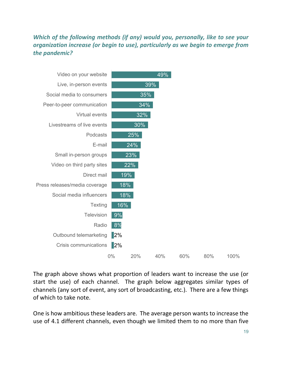#### Which of the following methods (if any) would you, personally, like to see your organization increase (or begin to use), particularly as we begin to emerge from the pandemic?



The graph above shows what proportion of leaders want to increase the use (or start the use) of each channel. The graph below aggregates similar types of channels (any sort of event, any sort of broadcasting, etc.). There are a few things of which to take note.

One is how ambitious these leaders are. The average person wants to increase the use of 4.1 different channels, even though we limited them to no more than five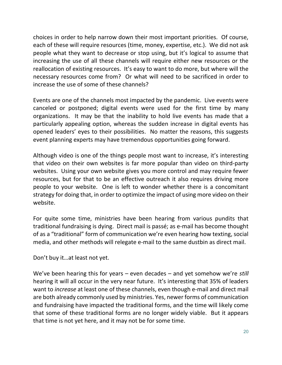choices in order to help narrow down their most important priorities. Of course, each of these will require resources (time, money, expertise, etc.). We did not ask people what they want to decrease or stop using, but it's logical to assume that increasing the use of all these channels will require either new resources or the reallocation of existing resources. It's easy to want to do more, but where will the necessary resources come from? Or what will need to be sacrificed in order to increase the use of some of these channels?

Events are one of the channels most impacted by the pandemic. Live events were canceled or postponed; digital events were used for the first time by many organizations. It may be that the inability to hold live events has made that a particularly appealing option, whereas the sudden increase in digital events has opened leaders' eyes to their possibilities. No matter the reasons, this suggests event planning experts may have tremendous opportunities going forward.

Although video is one of the things people most want to increase, it's interesting that video on their own websites is far more popular than video on third-party websites. Using your own website gives you more control and may require fewer resources, but for that to be an effective outreach it also requires driving more people to your website. One is left to wonder whether there is a concomitant strategy for doing that, in order to optimize the impact of using more video on their website.

For quite some time, ministries have been hearing from various pundits that traditional fundraising is dying. Direct mail is passé; as e-mail has become thought of as a "traditional" form of communication we're even hearing how texting, social media, and other methods will relegate e-mail to the same dustbin as direct mail.

Don't buy it…at least not yet.

We've been hearing this for years – even decades – and yet somehow we're *still* hearing it will all occur in the very near future. It's interesting that 35% of leaders want to increase at least one of these channels, even though e-mail and direct mail are both already commonly used by ministries. Yes, newer forms of communication and fundraising have impacted the traditional forms, and the time will likely come that some of these traditional forms are no longer widely viable. But it appears that time is not yet here, and it may not be for some time.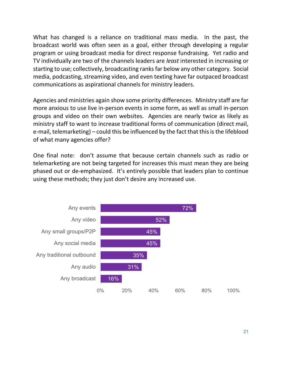What has changed is a reliance on traditional mass media. In the past, the broadcast world was often seen as a goal, either through developing a regular program or using broadcast media for direct response fundraising. Yet radio and TV individually are two of the channels leaders are least interested in increasing or starting to use; collectively, broadcasting ranks far below any other category. Social media, podcasting, streaming video, and even texting have far outpaced broadcast communications as aspirational channels for ministry leaders.

Agencies and ministries again show some priority differences. Ministry staff are far more anxious to use live in-person events in some form, as well as small in-person groups and video on their own websites. Agencies are nearly twice as likely as ministry staff to want to increase traditional forms of communication (direct mail, e-mail, telemarketing) – could this be influenced by the fact that this is the lifeblood of what many agencies offer?

One final note: don't assume that because certain channels such as radio or telemarketing are not being targeted for increases this must mean they are being phased out or de-emphasized. It's entirely possible that leaders plan to continue using these methods; they just don't desire any increased use.

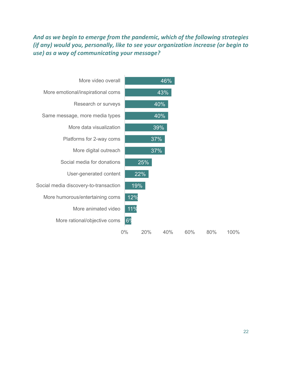#### And as we begin to emerge from the pandemic, which of the following strategies (if any) would you, personally, like to see your organization increase (or begin to use) as a way of communicating your message?

| More video overall                    |                | 46% |     |     |      |
|---------------------------------------|----------------|-----|-----|-----|------|
| More emotional/inspirational coms     |                | 43% |     |     |      |
| Research or surveys                   |                | 40% |     |     |      |
| Same message, more media types        |                | 40% |     |     |      |
| More data visualization               |                | 39% |     |     |      |
| Platforms for 2-way coms              |                | 37% |     |     |      |
| More digital outreach                 |                | 37% |     |     |      |
| Social media for donations            | 25%            |     |     |     |      |
| User-generated content                | 22%            |     |     |     |      |
| Social media discovery-to-transaction | 19%            |     |     |     |      |
| More humorous/entertaining coms       | 12%            |     |     |     |      |
| More animated video                   | 11%            |     |     |     |      |
| More rational/objective coms          | 6 <sup>o</sup> |     |     |     |      |
|                                       | 0%<br>20%      | 40% | 60% | 80% | 100% |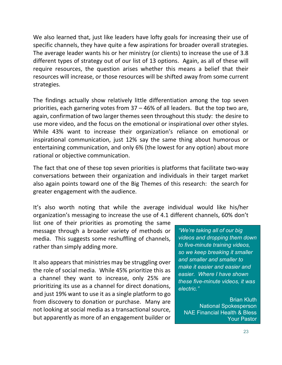We also learned that, just like leaders have lofty goals for increasing their use of specific channels, they have quite a few aspirations for broader overall strategies. The average leader wants his or her ministry (or clients) to increase the use of 3.8 different types of strategy out of our list of 13 options. Again, as all of these will require resources, the question arises whether this means a belief that their resources will increase, or those resources will be shifted away from some current strategies.

The findings actually show relatively little differentiation among the top seven priorities, each garnering votes from 37 – 46% of all leaders. But the top two are, again, confirmation of two larger themes seen throughout this study: the desire to use more video, and the focus on the emotional or inspirational over other styles. While 43% want to increase their organization's reliance on emotional or inspirational communication, just 12% say the same thing about humorous or entertaining communication, and only 6% (the lowest for any option) about more rational or objective communication.

The fact that one of these top seven priorities is platforms that facilitate two-way conversations between their organization and individuals in their target market also again points toward one of the Big Themes of this research: the search for greater engagement with the audience.

It's also worth noting that while the average individual would like his/her organization's messaging to increase the use of 4.1 different channels, 60% don't

list one of their priorities as promoting the same message through a broader variety of methods or media. This suggests some reshuffling of channels, rather than simply adding more.

It also appears that ministries may be struggling over the role of social media. While 45% prioritize this as a channel they want to increase, only 25% are prioritizing its use as a channel for direct donations, and just 19% want to use it as a single platform to go from discovery to donation or purchase. Many are not looking at social media as a transactional source, but apparently as more of an engagement builder or

"We're taking all of our big videos and dropping them down to five-minute training videos, so we keep breaking it smaller and smaller and smaller to make it easier and easier and easier. Where I have shown these five-minute videos, it was electric."

Brian Kluth National Spokesperson NAE Financial Health & Bless Your Pastor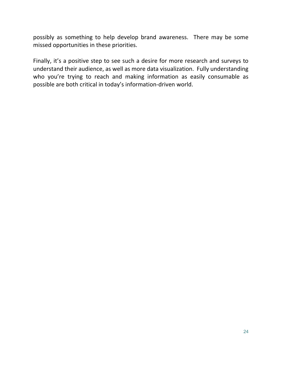possibly as something to help develop brand awareness. There may be some missed opportunities in these priorities.

Finally, it's a positive step to see such a desire for more research and surveys to understand their audience, as well as more data visualization. Fully understanding who you're trying to reach and making information as easily consumable as possible are both critical in today's information-driven world.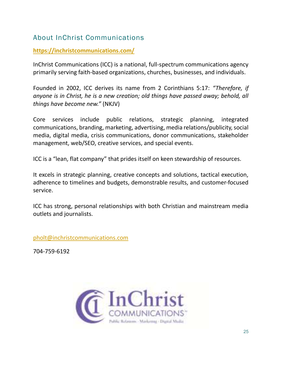## About InChrist Communications

#### https://inchristcommunications.com/

InChrist Communications (ICC) is a national, full-spectrum communications agency primarily serving faith-based organizations, churches, businesses, and individuals.

Founded in 2002, ICC derives its name from 2 Corinthians 5:17: "Therefore, if anyone is in Christ, he is a new creation; old things have passed away; behold, all things have become new." (NKJV)

Core services include public relations, strategic planning, integrated communications, branding, marketing, advertising, media relations/publicity, social media, digital media, crisis communications, donor communications, stakeholder management, web/SEO, creative services, and special events.

ICC is a "lean, flat company" that prides itself on keen stewardship of resources.

It excels in strategic planning, creative concepts and solutions, tactical execution, adherence to timelines and budgets, demonstrable results, and customer-focused service.

ICC has strong, personal relationships with both Christian and mainstream media outlets and journalists.

pholt@inchristcommunications.com

704-759-6192

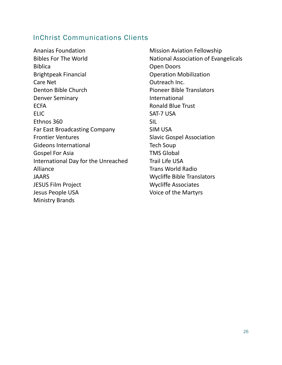#### InChrist Communications Clients

Ananias Foundation Bibles For The World Biblica Brightpeak Financial Care Net Denton Bible Church Denver Seminary **ECFA** ELIC Ethnos 360 Far East Broadcasting Company Frontier Ventures Gideons International Gospel For Asia International Day for the Unreached Alliance JAARS JESUS Film Project Jesus People USA Ministry Brands

Mission Aviation Fellowship National Association of Evangelicals Open Doors Operation Mobilization Outreach Inc. Pioneer Bible Translators International Ronald Blue Trust SAT-7 USA SIL SIM USA Slavic Gospel Association Tech Soup TMS Global Trail Life USA Trans World Radio Wycliffe Bible Translators Wycliffe Associates Voice of the Martyrs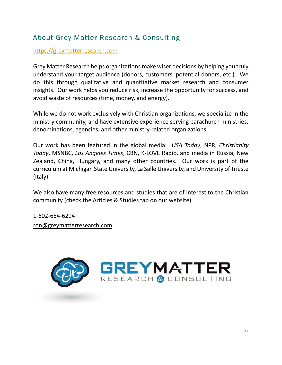# About Grey Matter Research & Consulting

#### https://greymatterresearch.com

Grey Matter Research helps organizations make wiser decisions by helping you truly understand your target audience (donors, customers, potential donors, etc.). We do this through qualitative and quantitative market research and consumer insights. Our work helps you reduce risk, increase the opportunity for success, and avoid waste of resources (time, money, and energy).

While we do not work exclusively with Christian organizations, we specialize in the ministry community, and have extensive experience serving parachurch ministries, denominations, agencies, and other ministry-related organizations.

Our work has been featured in the global media: USA Today, NPR, Christianity Today, MSNBC, Los Angeles Times, CBN, K-LOVE Radio, and media in Russia, New Zealand, China, Hungary, and many other countries. Our work is part of the curriculum at Michigan State University, La Salle University, and University of Trieste (Italy).

We also have many free resources and studies that are of interest to the Christian community (check the Articles & Studies tab on our website).

1-602-684-6294 ron@greymatterresearch.com